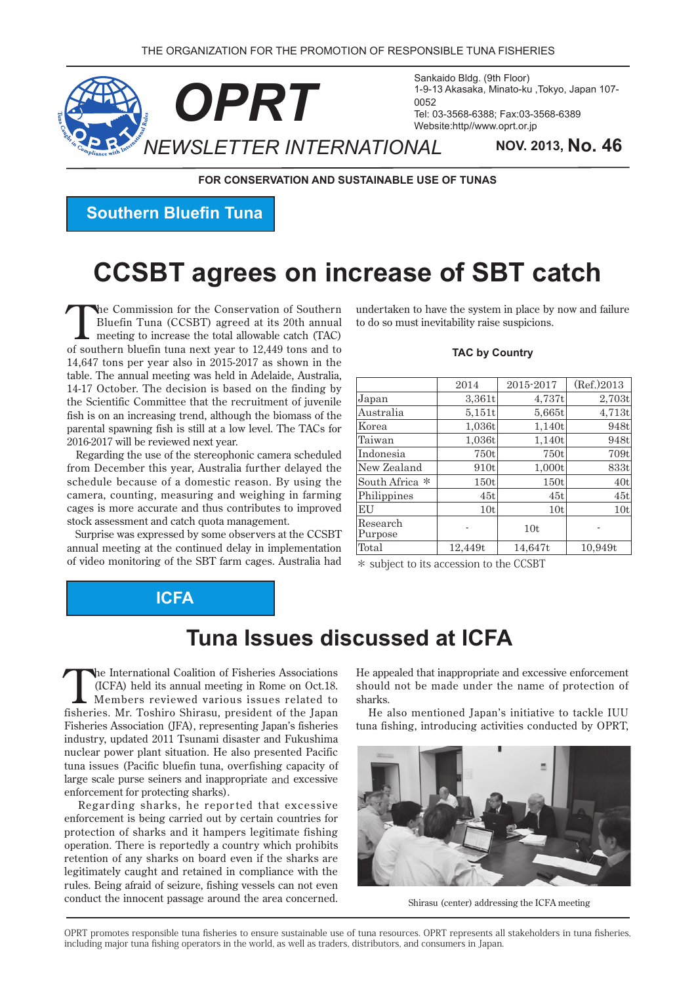

Sankaido Bldg. (9th Floor) 1-9-13 Akasaka, Minato-ku ,Tokyo, Japan 107-Tel: 03-3568-6388; Fax: 03-3568-6389 Website:http//www.oprt.or.jp

**FOR CONSERVATION AND SUSTAINABLE USE OF TUNAS** 

**Southern Bluefin Tuna** 

# **CCSBT** agrees on increase of SBT catch

The Commission for the Conservation of Southern<br>Bluefin Tuna (CCSBT) agreed at its 20th annual<br>meeting to increase the total allowable catch (TAC) Bluefin Tuna (CCSBT) agreed at its 20th annual meeting to increase the total allowable catch (TAC) of southern bluefin tuna next year to  $12,449$  tons and to 14,647 tons per year also in 2015-2017 as shown in the table. The annual meeting was held in Adelaide, Australia, 14-17 October. The decision is based on the finding by the Scientific Committee that the recruitment of juvenile fish is on an increasing trend, although the biomass of the parental spawning fish is still at a low level. The TACs for 2016-2017 will be reviewed next year.

Regarding the use of the stereophonic camera scheduled from December this year, Australia further delayed the schedule because of a domestic reason. By using the camera, counting, measuring and weighing in farming cages is more accurate and thus contributes to improved stock assessment and catch quota management.

Surprise was expressed by some observers at the CCSBT annual meeting at the continued delay in implementation of video monitoring of the SBT farm cages. Australia had

undertaken to have the system in place by now and failure to do so must inevitability raise suspicions.

#### **TAC by Country**

|                     | 2014            | 2015-2017       | (Ref.)2013      |
|---------------------|-----------------|-----------------|-----------------|
| Japan               | 3,361t          | 4,737t          | 2,703t          |
| Australia           | 5,151t          | 5,665t          | 4,713t          |
| Korea               | 1,036t          | 1,140t          | 948t            |
| Taiwan              | 1,036t          | 1,140t          | 948t            |
| Indonesia           | 750t            | 750t            | 709t            |
| New Zealand         | 910t            | 1,000t          | 833t            |
| South Africa *      | 150t            | 150t            | 40t             |
| Philippines         | 45t             | 45t             | 45t             |
| ΕU                  | 10 <sub>t</sub> | 10 <sub>t</sub> | 10 <sub>t</sub> |
| Research<br>Purpose |                 | 10 <sub>t</sub> |                 |
| Total               | 12.449t         | 14.647t         | 10.949t         |

\* subject to its accession to the CCSBT

## **ICFA**

## **Tuna Issues discussed at ICFA**

The International Coalition of Fisheries Associations<br>
(ICFA) held its annual meeting in Rome on Oct.18.<br>
Members reviewed various issues related to<br>
fisheries Mu Techine Shiney, precident of the du  $(ICFA)$  held its annual meeting in Rome on Oct.18. fisheries. Mr. Toshiro Shirasu, president of the Japan Fisheries Association (JFA), representing Japan's fisheries industry, updated 2011 Tsunami disaster and Fukushima nuclear power plant situation. He also presented Pacific tuna issues (Pacific bluefin tuna, overfishing capacity of large scale purse seiners and inappropriate and excessive enforcement for protecting sharks).

Regarding sharks, he reported that excessive enforcement is being carried out by certain countries for protection of sharks and it hampers legitimate fishing operation. There is reportedly a country which prohibits retention of any sharks on board even if the sharks are legitimately caught and retained in compliance with the rules. Being afraid of seizure, fishing vessels can not even conduct the innocent passage around the area concerned. He appealed that inappropriate and excessive enforcement should not be made under the name of protection of .sharks

He also mentioned Japan's initiative to tackle IUU tuna fishing, introducing activities conducted by OPRT,



Shirasu (center) addressing the ICFA meeting

OPRT promotes responsible tuna fisheries to ensure sustainable use of tuna resources. OPRT represents all stakeholders in tuna fisheries, including major tuna fishing operators in the world, as well as traders, distributors, and consumers in Japan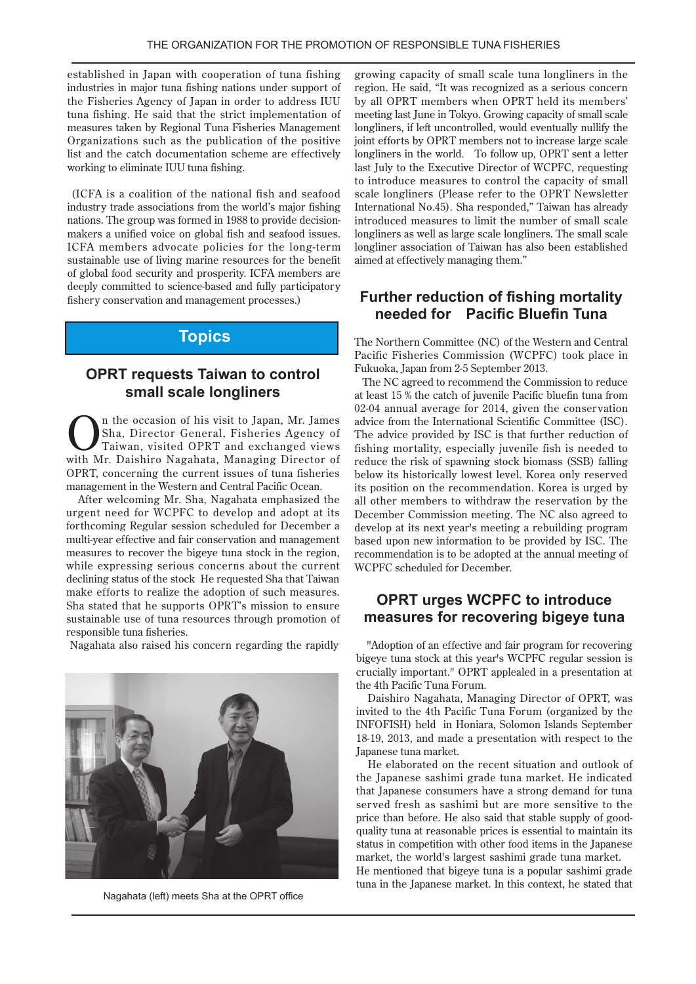established in Japan with cooperation of tuna fishing industries in major tuna fishing nations under support of the Fisheries Agency of Japan in order to address IUU tuna fishing. He said that the strict implementation of measures taken by Regional Tuna Fisheries Management Organizations such as the publication of the positive list and the catch documentation scheme are effectively working to eliminate IUU tuna fishing.

(ICFA is a coalition of the national fish and seafood industry trade associations from the world's major fishing makers a unified voice on global fish and seafood issues. nations. The group was formed in 1988 to provide decision-ICFA members advocate policies for the long-term sustainable use of living marine resources for the benefit of global food security and prosperity. ICFA members are deeply committed to science-based and fully participatory fishery conservation and management processes.)

## **Topics**

#### **OPRT** requests Taiwan to control small scale longliners

**C** Taiwan, Director General, Fisheries Agency of Taiwan, visited OPRT and exchanged views Sha, Director General, Fisheries Agency of with Mr. Daishiro Nagahata, Managing Director of OPRT, concerning the current issues of tuna fisheries management in the Western and Central Pacific Ocean.

After welcoming Mr. Sha, Nagahata emphasized the urgent need for WCPFC to develop and adopt at its for the oming Regular session scheduled for December a multi-year effective and fair conservation and management measures to recover the bigeye tuna stock in the region, while expressing serious concerns about the current declining status of the stock He requested Sha that Taiwan make efforts to realize the adoption of such measures. Sha stated that he supports OPRT's mission to ensure sustainable use of tuna resources through promotion of responsible tuna fisheries.

Nagahata also raised his concern regarding the rapidly



Nagahata (left) meets Sha at the OPRT office

growing capacity of small scale tuna longliners in the region. He said, "It was recognized as a serious concern by all OPRT members when OPRT held its members' meeting last June in Tokyo. Growing capacity of small scale longliners, if left uncontrolled, would eventually nullify the ioint efforts by OPRT members not to increase large scale longliners in the world. To follow up, OPRT sent a letter last July to the Executive Director of WCPFC, requesting to introduce measures to control the capacity of small scale longliners (Please refer to the OPRT Newsletter International No.45). Sha responded," Taiwan has already introduced measures to limit the number of small scale longliners as well as large scale longliners. The small scale longliner association of Taiwan has also been established aimed at effectively managing them."

#### **Further reduction of fishing mortality needed for Pacific Bluefin Tuna**

The Northern Committee (NC) of the Western and Central Pacific Fisheries Commission (WCPFC) took place in Fukuoka, Japan from 2-5 September 2013.

The NC agreed to recommend the Commission to reduce at least 15 % the catch of juvenile Pacific bluefin tuna from  $02-04$  annual average for 2014, given the conservation advice from the International Scientific Committee (ISC). The advice provided by ISC is that further reduction of fishing mortality, especially juvenile fish is needed to reduce the risk of spawning stock biomass (SSB) falling below its historically lowest level. Korea only reserved its position on the recommendation. Korea is urged by all other members to withdraw the reservation by the December Commission meeting. The NC also agreed to develop at its next year's meeting a rebuilding program based upon new information to be provided by ISC. The recommendation is to be adopted at the annual meeting of WCPFC scheduled for December.

#### **OPRT urges WCPFC to introduce** measures for recovering bigeye tuna

"Adoption of an effective and fair program for recovering bigeye tuna stock at this year's WCPFC regular session is crucially important." OPRT applealed in a presentation at the 4th Pacific Tuna Forum.

Daishiro Nagahata, Managing Director of OPRT, was invited to the 4th Pacific Tuna Forum (organized by the INFOFISH) held in Honiara, Solomon Islands September  $18-19$ , 2013, and made a presentation with respect to the Iapanese tuna market.

He elaborated on the recent situation and outlook of the Japanese sashimi grade tuna market. He indicated that Japanese consumers have a strong demand for tuna served fresh as sashimi but are more sensitive to the quality tuna at reasonable prices is essential to maintain its price than before. He also said that stable supply of goodstatus in competition with other food items in the Japanese market, the world's largest sashimi grade tuna market.

He mentioned that bigeye tuna is a popular sashimi grade tuna in the Japanese market. In this context, he stated that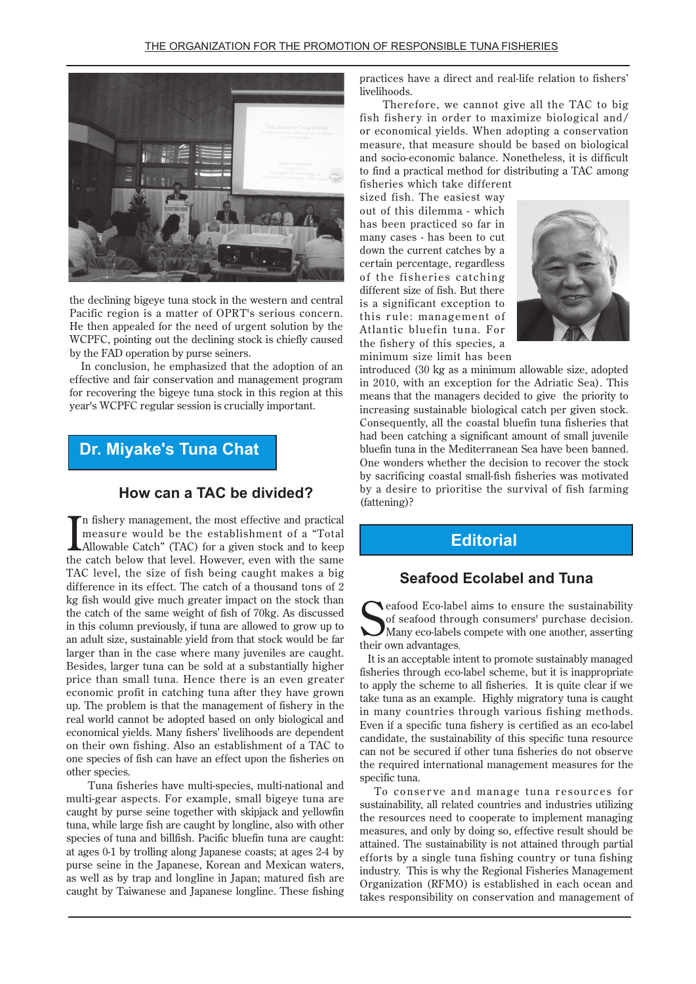

the declining bigeye tuna stock in the western and central Pacific region is a matter of OPRT's serious concern. He then appealed for the need of urgent solution by the WCPFC, pointing out the declining stock is chiefly caused by the FAD operation by purse seiners.

In conclusion, he emphasized that the adoption of an effective and fair conservation and management program for recovering the bigeye tuna stock in this region at this year's WCPFC regular session is crucially important.

## **Dr. Miyake's Tuna Chat**

#### **How can a TAC be divided?**

In fishery management, the most effective and practical measure would be the establishment of a "Total Allowable Catch" (TAC) for a given stock and to keep the catch below that level. However, even with the same In fishery management, the most effective and practical measure would be the establishment of a "Total"  $L$ Allowable Catch" (TAC) for a given stock and to keep TAC level, the size of fish being caught makes a big difference in its effect. The catch of a thousand tons of 2 kg fish would give much greater impact on the stock than the catch of the same weight of fish of 70 kg. As discussed in this column previously, if tuna are allowed to grow up to an adult size, sustainable vield from that stock would be far larger than in the case where many inveniles are caught. Besides, larger tuna can be sold at a substantially higher price than small tuna. Hence there is an even greater economic profit in catching tuna after they have grown up. The problem is that the management of fishery in the real world cannot be adopted based on only biological and economical yields. Many fishers' livelihoods are dependent on their own fishing. Also an establishment of a TAC to one species of fish can have an effect upon the fisheries on other species.

Tuna fisheries have multi-species, multi-national and multi-gear aspects. For example, small bigeye tuna are caught by purse seine together with skipjack and yellowfin tuna, while large fish are caught by longline, also with other species of tuna and billfish. Pacific bluefin tuna are caught: at ages 0-1 by trolling along Japanese coasts; at ages 2-4 by purse seine in the Japanese. Korean and Mexican waters. as well as by trap and longline in Japan; matured fish are caught by Taiwanese and Japanese longline. These fishing

practices have a direct and real-life relation to fishers' livelihoods

Therefore, we cannot give all the TAC to big fish fishery in order to maximize biological and/ or economical yields. When adopting a conservation measure, that measure should be based on biological and socio-economic balance. Nonetheless, it is difficult to find a practical method for distributing a TAC among

fisheries which take different sized fish. The easiest way out of this dilemma - which has been practiced so far in many cases - has been to cut down the current catches by a certain percentage, regardless of the fisheries catching different size of fish. But there is a significant exception to this rule: management of Atlantic bluefin tuna. For the fishery of this species, a minimum size limit has been



introduced (30 kg as a minimum allowable size, adopted in 2010, with an exception for the Adriatic Sea). This means that the managers decided to give the priority to increasing sustainable biological catch per given stock. Consequently, all the coastal bluefin tuna fisheries that had been catching a significant amount of small juvenile bluefin tuna in the Mediterranean Sea have been banned. One wonders whether the decision to recover the stock by sacrificing coastal small-fish fisheries was motivated by a desire to prioritise the survival of fish farming  $(fattering)$ ?

## **Editorial**

#### **Seafood Ecolabel and Tuna**

**S**eafood Eco-labels<br>of seafood thro<br>their own advantages. eafood Eco-label aims to ensure the sustainability of seafood through consumers' purchase decision.  $\lambda$  Many eco-labels compete with one another, asserting

It is an acceptable intent to promote sustainably managed fisheries through eco-label scheme, but it is inappropriate to apply the scheme to all fisheries. It is quite clear if we take tuna as an example. Highly migratory tuna is caught in many countries through various fishing methods. Even if a specific tuna fishery is certified as an eco-label candidate, the sustainability of this specific tuna resource can not be secured if other tuna fisheries do not observe the required international management measures for the specific tuna.

To conserve and manage tuna resources for sustainability, all related countries and industries utilizing the resources need to cooperate to implement managing measures, and only by doing so, effective result should be attained. The sustainability is not attained through partial efforts by a single tuna fishing country or tuna fishing industry. This is why the Regional Fisheries Management Organization (RFMO) is established in each ocean and takes responsibility on conservation and management of